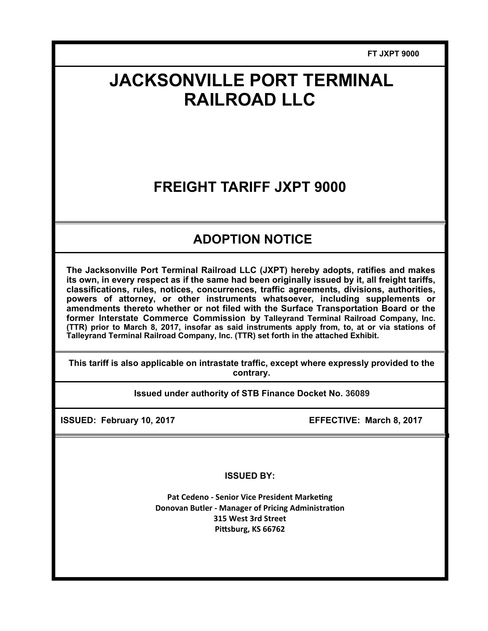**FT JXPT 9000** 

# **JACKSONVILLE PORT TERMINAL RAILROAD LLC**

## **FREIGHT TARIFF JXPT 9000**

## **ADOPTION NOTICE**

**The Jacksonville Port Terminal Railroad LLC (JXPT) hereby adopts, ratifies and makes its own, in every respect as if the same had been originally issued by it, all freight tariffs, classifications, rules, notices, concurrences, traffic agreements, divisions, authorities, powers of attorney, or other instruments whatsoever, including supplements or amendments thereto whether or not filed with the Surface Transportation Board or the former Interstate Commerce Commission by Talleyrand Terminal Railroad Company, Inc. (TTR) prior to March 8, 2017, insofar as said instruments apply from, to, at or via stations of Talleyrand Terminal Railroad Company, Inc. (TTR) set forth in the attached Exhibit.** 

**This tariff is also applicable on intrastate traffic, except where expressly provided to the contrary.** 

**Issued under authority of STB Finance Docket No. 36089**

**ISSUED: February 10, 2017 EFFECTIVE: March 8, 2017** 

**ISSUED BY:** 

**Pat Cedeno - Senior Vice President Marketing Donovan Butler - Manager of Pricing Administration 315 West 3rd Street**  Pittsburg, KS 66762